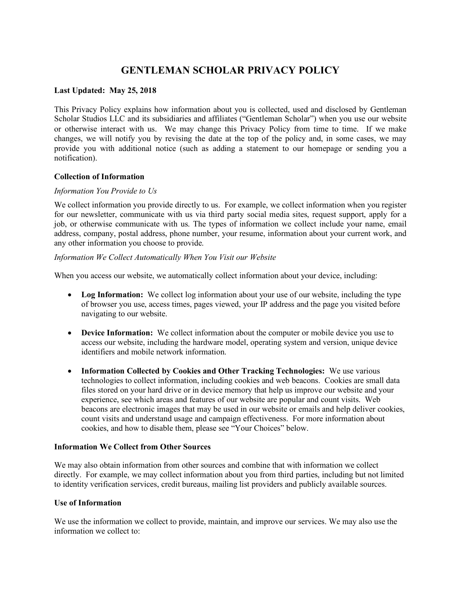# **GENTLEMAN SCHOLAR PRIVACY POLICY**

### **Last Updated: May 25, 2018**

This Privacy Policy explains how information about you is collected, used and disclosed by Gentleman Scholar Studios LLC and its subsidiaries and affiliates ("Gentleman Scholar") when you use our website or otherwise interact with us. We may change this Privacy Policy from time to time. If we make changes, we will notify you by revising the date at the top of the policy and, in some cases, we may provide you with additional notice (such as adding a statement to our homepage or sending you a notification).

#### **Collection of Information**

#### *Information You Provide to Us*

We collect information you provide directly to us. For example, we collect information when you register for our newsletter, communicate with us via third party social media sites, request support, apply for a job, or otherwise communicate with us. The types of information we collect include your name, email address, company, postal address, phone number, your resume, information about your current work, and any other information you choose to provide.

### *Information We Collect Automatically When You Visit our Website*

When you access our website, we automatically collect information about your device, including:

- Log Information: We collect log information about your use of our website, including the type of browser you use, access times, pages viewed, your IP address and the page you visited before navigating to our website.
- **Device Information:** We collect information about the computer or mobile device you use to access our website, including the hardware model, operating system and version, unique device identifiers and mobile network information.
- **Information Collected by Cookies and Other Tracking Technologies:** We use various technologies to collect information, including cookies and web beacons. Cookies are small data files stored on your hard drive or in device memory that help us improve our website and your experience, see which areas and features of our website are popular and count visits. Web beacons are electronic images that may be used in our website or emails and help deliver cookies, count visits and understand usage and campaign effectiveness. For more information about cookies, and how to disable them, please see "Your Choices" below.

#### **Information We Collect from Other Sources**

We may also obtain information from other sources and combine that with information we collect directly. For example, we may collect information about you from third parties, including but not limited to identity verification services, credit bureaus, mailing list providers and publicly available sources.

#### **Use of Information**

We use the information we collect to provide, maintain, and improve our services. We may also use the information we collect to: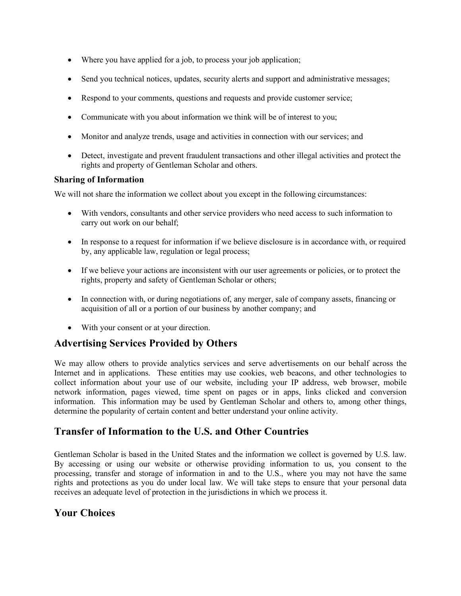- Where you have applied for a job, to process your job application;
- Send you technical notices, updates, security alerts and support and administrative messages;
- Respond to your comments, questions and requests and provide customer service;
- Communicate with you about information we think will be of interest to you;
- Monitor and analyze trends, usage and activities in connection with our services; and
- Detect, investigate and prevent fraudulent transactions and other illegal activities and protect the rights and property of Gentleman Scholar and others.

# **Sharing of Information**

We will not share the information we collect about you except in the following circumstances:

- With vendors, consultants and other service providers who need access to such information to carry out work on our behalf;
- In response to a request for information if we believe disclosure is in accordance with, or required by, any applicable law, regulation or legal process;
- If we believe your actions are inconsistent with our user agreements or policies, or to protect the rights, property and safety of Gentleman Scholar or others;
- In connection with, or during negotiations of, any merger, sale of company assets, financing or acquisition of all or a portion of our business by another company; and
- With your consent or at your direction.

# **Advertising Services Provided by Others**

We may allow others to provide analytics services and serve advertisements on our behalf across the Internet and in applications. These entities may use cookies, web beacons, and other technologies to collect information about your use of our website, including your IP address, web browser, mobile network information, pages viewed, time spent on pages or in apps, links clicked and conversion information. This information may be used by Gentleman Scholar and others to, among other things, determine the popularity of certain content and better understand your online activity.

# **Transfer of Information to the U.S. and Other Countries**

Gentleman Scholar is based in the United States and the information we collect is governed by U.S. law. By accessing or using our website or otherwise providing information to us, you consent to the processing, transfer and storage of information in and to the U.S., where you may not have the same rights and protections as you do under local law. We will take steps to ensure that your personal data receives an adequate level of protection in the jurisdictions in which we process it.

# **Your Choices**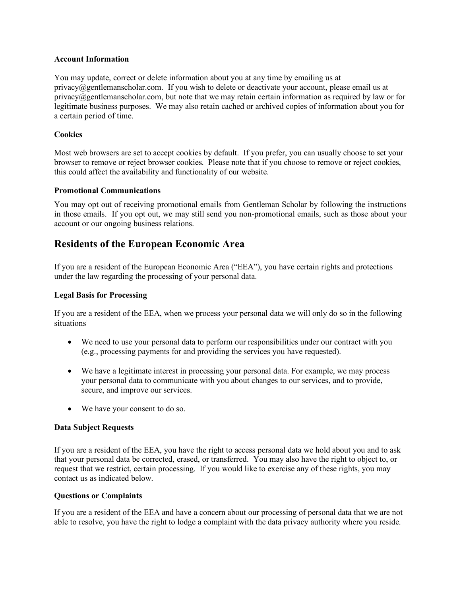#### **Account Information**

You may update, correct or delete information about you at any time by emailing us at privacy@gentlemanscholar.com. If you wish to delete or deactivate your account, please email us at  $\pi$  privacy $@$ gentlemanscholar.com, but note that we may retain certain information as required by law or for legitimate business purposes. We may also retain cached or archived copies of information about you for a certain period of time.

## **Cookies**

Most web browsers are set to accept cookies by default. If you prefer, you can usually choose to set your browser to remove or reject browser cookies. Please note that if you choose to remove or reject cookies, this could affect the availability and functionality of our website.

### **Promotional Communications**

You may opt out of receiving promotional emails from Gentleman Scholar by following the instructions in those emails. If you opt out, we may still send you non-promotional emails, such as those about your account or our ongoing business relations.

# **Residents of the European Economic Area**

If you are a resident of the European Economic Area ("EEA"), you have certain rights and protections under the law regarding the processing of your personal data.

## **Legal Basis for Processing**

If you are a resident of the EEA, when we process your personal data we will only do so in the following situations<sup>:</sup>

- We need to use your personal data to perform our responsibilities under our contract with you (e.g., processing payments for and providing the services you have requested).
- We have a legitimate interest in processing your personal data. For example, we may process your personal data to communicate with you about changes to our services, and to provide, secure, and improve our services.
- We have your consent to do so.

### **Data Subject Requests**

If you are a resident of the EEA, you have the right to access personal data we hold about you and to ask that your personal data be corrected, erased, or transferred. You may also have the right to object to, or request that we restrict, certain processing. If you would like to exercise any of these rights, you may contact us as indicated below.

### **Questions or Complaints**

If you are a resident of the EEA and have a concern about our processing of personal data that we are not able to resolve, you have the right to lodge a complaint with the data privacy authority where you reside.